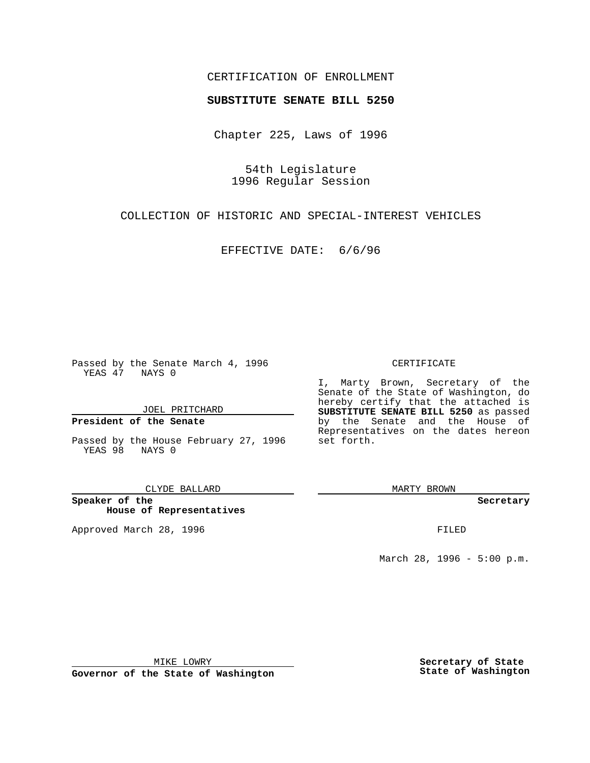#### CERTIFICATION OF ENROLLMENT

# **SUBSTITUTE SENATE BILL 5250**

Chapter 225, Laws of 1996

54th Legislature 1996 Regular Session

COLLECTION OF HISTORIC AND SPECIAL-INTEREST VEHICLES

EFFECTIVE DATE: 6/6/96

Passed by the Senate March 4, 1996 YEAS 47 NAYS 0

JOEL PRITCHARD

**President of the Senate**

Passed by the House February 27, 1996 YEAS 98 NAYS 0

CLYDE BALLARD

**Speaker of the House of Representatives**

Approved March 28, 1996 FILED

#### CERTIFICATE

I, Marty Brown, Secretary of the Senate of the State of Washington, do hereby certify that the attached is **SUBSTITUTE SENATE BILL 5250** as passed by the Senate and the House of Representatives on the dates hereon set forth.

MARTY BROWN

**Secretary**

March 28, 1996 - 5:00 p.m.

MIKE LOWRY

**Governor of the State of Washington**

**Secretary of State State of Washington**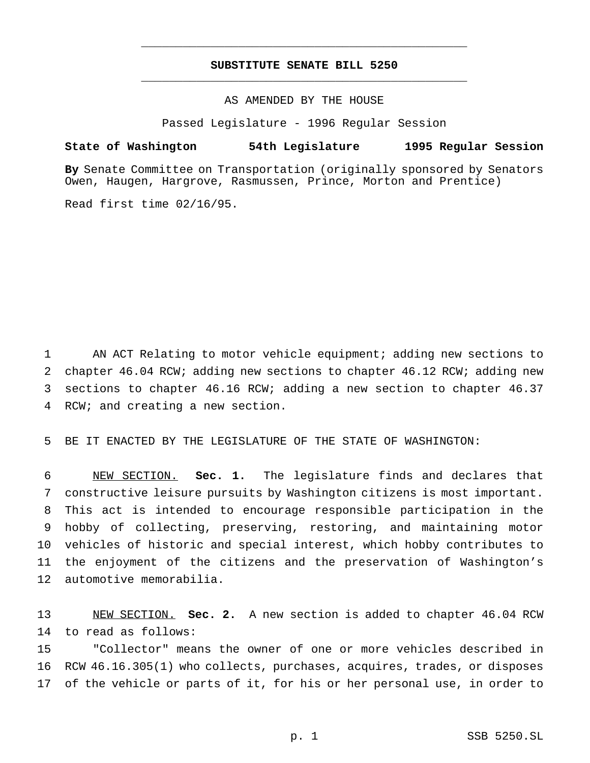## **SUBSTITUTE SENATE BILL 5250** \_\_\_\_\_\_\_\_\_\_\_\_\_\_\_\_\_\_\_\_\_\_\_\_\_\_\_\_\_\_\_\_\_\_\_\_\_\_\_\_\_\_\_\_\_\_\_

\_\_\_\_\_\_\_\_\_\_\_\_\_\_\_\_\_\_\_\_\_\_\_\_\_\_\_\_\_\_\_\_\_\_\_\_\_\_\_\_\_\_\_\_\_\_\_

#### AS AMENDED BY THE HOUSE

Passed Legislature - 1996 Regular Session

## **State of Washington 54th Legislature 1995 Regular Session**

**By** Senate Committee on Transportation (originally sponsored by Senators Owen, Haugen, Hargrove, Rasmussen, Prince, Morton and Prentice)

Read first time 02/16/95.

 AN ACT Relating to motor vehicle equipment; adding new sections to chapter 46.04 RCW; adding new sections to chapter 46.12 RCW; adding new sections to chapter 46.16 RCW; adding a new section to chapter 46.37 RCW; and creating a new section.

BE IT ENACTED BY THE LEGISLATURE OF THE STATE OF WASHINGTON:

 NEW SECTION. **Sec. 1.** The legislature finds and declares that constructive leisure pursuits by Washington citizens is most important. This act is intended to encourage responsible participation in the hobby of collecting, preserving, restoring, and maintaining motor vehicles of historic and special interest, which hobby contributes to the enjoyment of the citizens and the preservation of Washington's automotive memorabilia.

 NEW SECTION. **Sec. 2.** A new section is added to chapter 46.04 RCW to read as follows:

 "Collector" means the owner of one or more vehicles described in RCW 46.16.305(1) who collects, purchases, acquires, trades, or disposes of the vehicle or parts of it, for his or her personal use, in order to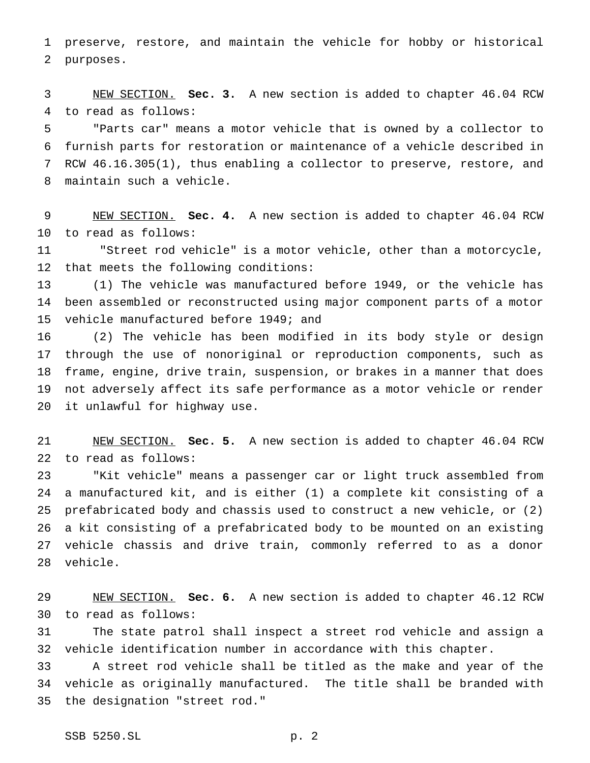preserve, restore, and maintain the vehicle for hobby or historical purposes.

 NEW SECTION. **Sec. 3.** A new section is added to chapter 46.04 RCW to read as follows:

 "Parts car" means a motor vehicle that is owned by a collector to furnish parts for restoration or maintenance of a vehicle described in RCW 46.16.305(1), thus enabling a collector to preserve, restore, and maintain such a vehicle.

 NEW SECTION. **Sec. 4.** A new section is added to chapter 46.04 RCW to read as follows:

 "Street rod vehicle" is a motor vehicle, other than a motorcycle, that meets the following conditions:

 (1) The vehicle was manufactured before 1949, or the vehicle has been assembled or reconstructed using major component parts of a motor vehicle manufactured before 1949; and

 (2) The vehicle has been modified in its body style or design through the use of nonoriginal or reproduction components, such as frame, engine, drive train, suspension, or brakes in a manner that does not adversely affect its safe performance as a motor vehicle or render it unlawful for highway use.

 NEW SECTION. **Sec. 5.** A new section is added to chapter 46.04 RCW to read as follows:

 "Kit vehicle" means a passenger car or light truck assembled from a manufactured kit, and is either (1) a complete kit consisting of a prefabricated body and chassis used to construct a new vehicle, or (2) a kit consisting of a prefabricated body to be mounted on an existing vehicle chassis and drive train, commonly referred to as a donor vehicle.

 NEW SECTION. **Sec. 6.** A new section is added to chapter 46.12 RCW to read as follows:

 The state patrol shall inspect a street rod vehicle and assign a vehicle identification number in accordance with this chapter.

 A street rod vehicle shall be titled as the make and year of the vehicle as originally manufactured. The title shall be branded with the designation "street rod."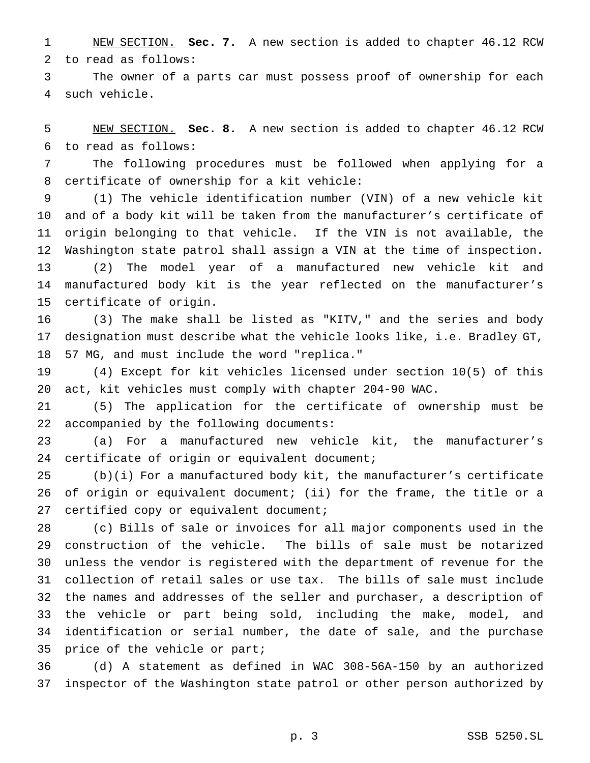NEW SECTION. **Sec. 7.** A new section is added to chapter 46.12 RCW to read as follows:

 The owner of a parts car must possess proof of ownership for each such vehicle.

 NEW SECTION. **Sec. 8.** A new section is added to chapter 46.12 RCW to read as follows:

 The following procedures must be followed when applying for a certificate of ownership for a kit vehicle:

 (1) The vehicle identification number (VIN) of a new vehicle kit and of a body kit will be taken from the manufacturer's certificate of origin belonging to that vehicle. If the VIN is not available, the Washington state patrol shall assign a VIN at the time of inspection. (2) The model year of a manufactured new vehicle kit and manufactured body kit is the year reflected on the manufacturer's certificate of origin.

 (3) The make shall be listed as "KITV," and the series and body designation must describe what the vehicle looks like, i.e. Bradley GT, 57 MG, and must include the word "replica."

 (4) Except for kit vehicles licensed under section 10(5) of this act, kit vehicles must comply with chapter 204-90 WAC.

 (5) The application for the certificate of ownership must be accompanied by the following documents:

 (a) For a manufactured new vehicle kit, the manufacturer's certificate of origin or equivalent document;

 (b)(i) For a manufactured body kit, the manufacturer's certificate of origin or equivalent document; (ii) for the frame, the title or a 27 certified copy or equivalent document;

 (c) Bills of sale or invoices for all major components used in the construction of the vehicle. The bills of sale must be notarized unless the vendor is registered with the department of revenue for the collection of retail sales or use tax. The bills of sale must include the names and addresses of the seller and purchaser, a description of the vehicle or part being sold, including the make, model, and identification or serial number, the date of sale, and the purchase price of the vehicle or part;

 (d) A statement as defined in WAC 308-56A-150 by an authorized inspector of the Washington state patrol or other person authorized by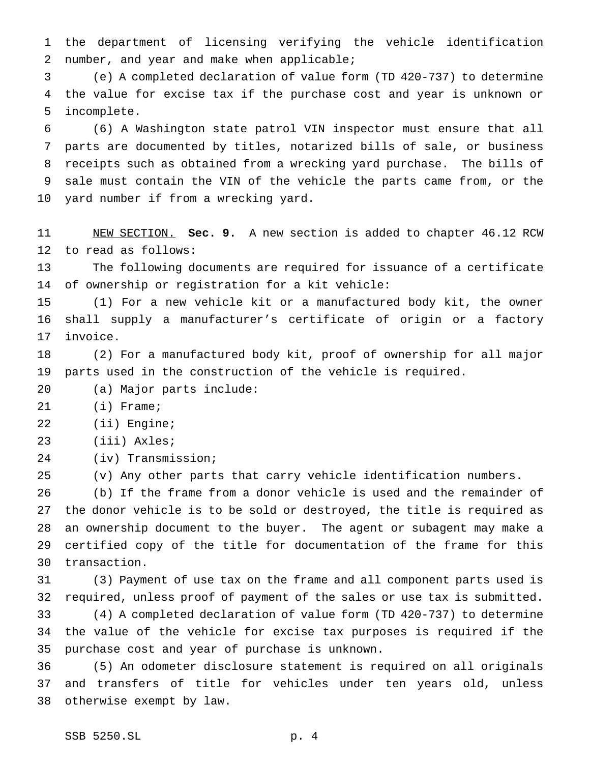the department of licensing verifying the vehicle identification number, and year and make when applicable;

 (e) A completed declaration of value form (TD 420-737) to determine the value for excise tax if the purchase cost and year is unknown or incomplete.

 (6) A Washington state patrol VIN inspector must ensure that all parts are documented by titles, notarized bills of sale, or business receipts such as obtained from a wrecking yard purchase. The bills of sale must contain the VIN of the vehicle the parts came from, or the yard number if from a wrecking yard.

 NEW SECTION. **Sec. 9.** A new section is added to chapter 46.12 RCW to read as follows:

 The following documents are required for issuance of a certificate of ownership or registration for a kit vehicle:

 (1) For a new vehicle kit or a manufactured body kit, the owner shall supply a manufacturer's certificate of origin or a factory invoice.

 (2) For a manufactured body kit, proof of ownership for all major parts used in the construction of the vehicle is required.

(a) Major parts include:

(i) Frame;

(ii) Engine;

(iii) Axles;

(iv) Transmission;

(v) Any other parts that carry vehicle identification numbers.

 (b) If the frame from a donor vehicle is used and the remainder of the donor vehicle is to be sold or destroyed, the title is required as an ownership document to the buyer. The agent or subagent may make a certified copy of the title for documentation of the frame for this transaction.

 (3) Payment of use tax on the frame and all component parts used is required, unless proof of payment of the sales or use tax is submitted. (4) A completed declaration of value form (TD 420-737) to determine the value of the vehicle for excise tax purposes is required if the purchase cost and year of purchase is unknown.

 (5) An odometer disclosure statement is required on all originals and transfers of title for vehicles under ten years old, unless otherwise exempt by law.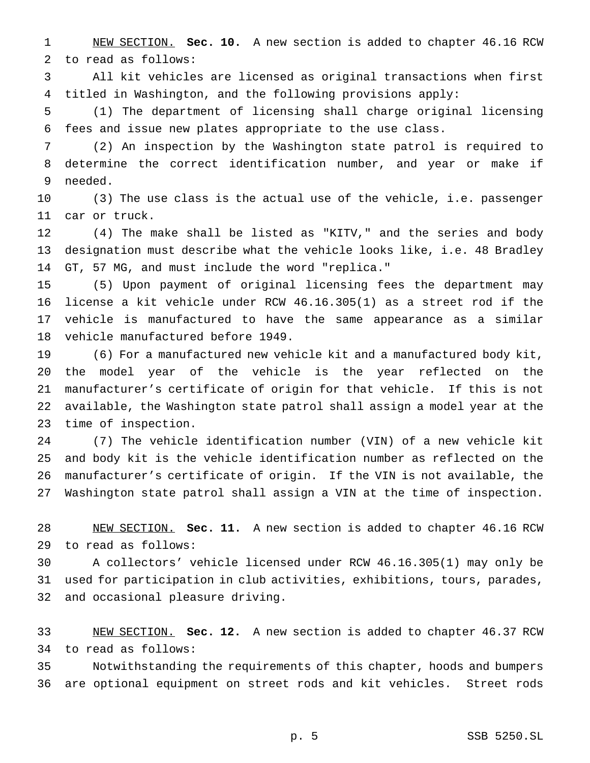NEW SECTION. **Sec. 10.** A new section is added to chapter 46.16 RCW to read as follows:

 All kit vehicles are licensed as original transactions when first titled in Washington, and the following provisions apply:

 (1) The department of licensing shall charge original licensing fees and issue new plates appropriate to the use class.

 (2) An inspection by the Washington state patrol is required to determine the correct identification number, and year or make if needed.

 (3) The use class is the actual use of the vehicle, i.e. passenger car or truck.

 (4) The make shall be listed as "KITV," and the series and body designation must describe what the vehicle looks like, i.e. 48 Bradley GT, 57 MG, and must include the word "replica."

 (5) Upon payment of original licensing fees the department may license a kit vehicle under RCW 46.16.305(1) as a street rod if the vehicle is manufactured to have the same appearance as a similar vehicle manufactured before 1949.

 (6) For a manufactured new vehicle kit and a manufactured body kit, the model year of the vehicle is the year reflected on the manufacturer's certificate of origin for that vehicle. If this is not available, the Washington state patrol shall assign a model year at the time of inspection.

 (7) The vehicle identification number (VIN) of a new vehicle kit and body kit is the vehicle identification number as reflected on the manufacturer's certificate of origin. If the VIN is not available, the Washington state patrol shall assign a VIN at the time of inspection.

 NEW SECTION. **Sec. 11.** A new section is added to chapter 46.16 RCW to read as follows:

 A collectors' vehicle licensed under RCW 46.16.305(1) may only be used for participation in club activities, exhibitions, tours, parades, and occasional pleasure driving.

 NEW SECTION. **Sec. 12.** A new section is added to chapter 46.37 RCW to read as follows:

 Notwithstanding the requirements of this chapter, hoods and bumpers are optional equipment on street rods and kit vehicles. Street rods

p. 5 SSB 5250.SL